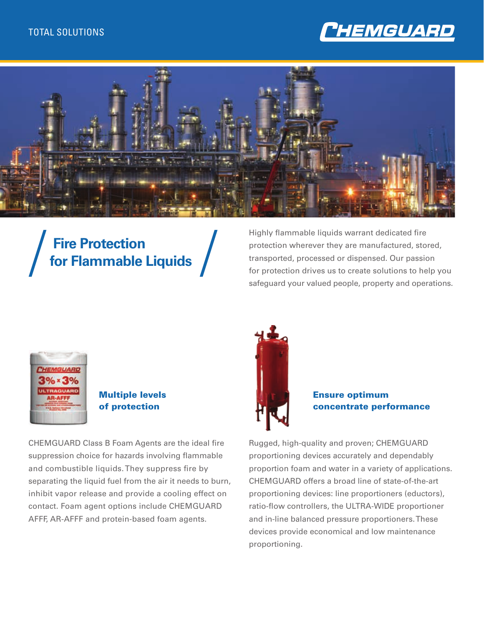



# **Fire Protection for Flammable Liquids**

Highly flammable liquids warrant dedicated fire protection wherever they are manufactured, stored, transported, processed or dispensed. Our passion for protection drives us to create solutions to help you safeguard your valued people, property and operations.



#### Multiple levels of protection

CHEMGUARD Class B Foam Agents are the ideal fire suppression choice for hazards involving flammable and combustible liquids. They suppress fire by separating the liquid fuel from the air it needs to burn, inhibit vapor release and provide a cooling effect on contact. Foam agent options include CHEMGUARD AFFF, AR-AFFF and protein-based foam agents.



Ensure optimum concentrate performance

Rugged, high-quality and proven; CHEMGUARD proportioning devices accurately and dependably proportion foam and water in a variety of applications. CHEMGUARD offers a broad line of state-of-the-art proportioning devices: line proportioners (eductors), ratio-flow controllers, the ULTRA-WIDE proportioner and in-line balanced pressure proportioners. These devices provide economical and low maintenance proportioning.